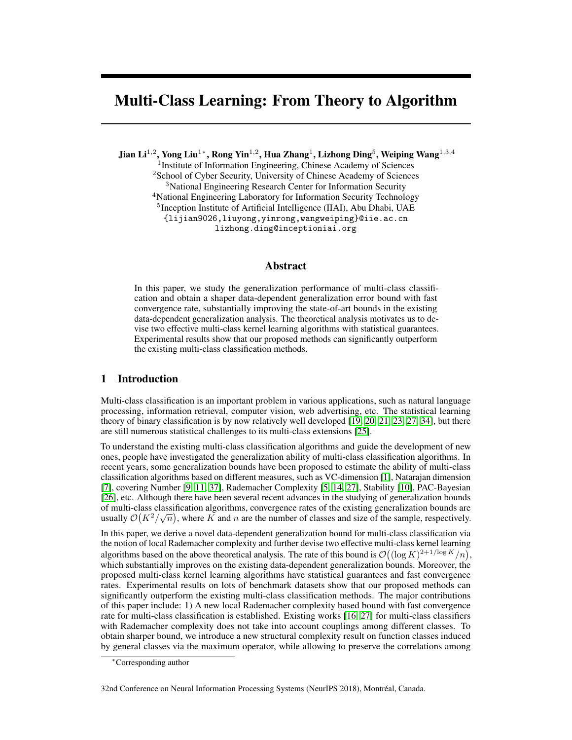# Multi-Class Learning: From Theory to Algorithm

Jian Li $^{1,2}$ , Yong Liu $^{1*}$ , Rong Yin $^{1,2}$ , Hua Zhang $^{1}$ , Lizhong Ding $^{5}$ , Weiping Wang $^{1,3,4}$ <sup>1</sup> Institute of Information Engineering, Chinese Academy of Sciences <sup>2</sup>School of Cyber Security, University of Chinese Academy of Sciences <sup>3</sup>National Engineering Research Center for Information Security <sup>4</sup>National Engineering Laboratory for Information Security Technology <sup>5</sup> Inception Institute of Artificial Intelligence (IIAI), Abu Dhabi, UAE {lijian9026,liuyong,yinrong,wangweiping}@iie.ac.cn lizhong.ding@inceptioniai.org

### Abstract

In this paper, we study the generalization performance of multi-class classification and obtain a shaper data-dependent generalization error bound with fast convergence rate, substantially improving the state-of-art bounds in the existing data-dependent generalization analysis. The theoretical analysis motivates us to devise two effective multi-class kernel learning algorithms with statistical guarantees. Experimental results show that our proposed methods can significantly outperform the existing multi-class classification methods.

### 1 Introduction

Multi-class classification is an important problem in various applications, such as natural language processing, information retrieval, computer vision, web advertising, etc. The statistical learning theory of binary classification is by now relatively well developed [19, 20, 21, 23, 27, 34], but there are still numerous statistical challenges to its multi-class extensions [25].

To understand the existing multi-class classification algorithms and guide the development of new ones, people have investigated the generalization ability of multi-class classification algorithms. In recent years, some generalization bounds have been proposed to estimate the ability of multi-class classification algorithms based on different measures, such as VC-dimension [1], Natarajan dimension [7], covering Number [9, 11, 37], Rademacher Complexity [5, 14, 27], Stability [10], PAC-Bayesian [26], etc. Although there have been several recent advances in the studying of generalization bounds of multi-class classification algorithms, convergence rates of the existing generalization bounds are usually  $\mathcal{O}(K^2/\sqrt{n})$ , where K and n are the number of classes and size of the sample, respectively.

In this paper, we derive a novel data-dependent generalization bound for multi-class classification via the notion of local Rademacher complexity and further devise two effective multi-class kernel learning algorithms based on the above theoretical analysis. The rate of this bound is  $\mathcal{O}((\log K)^{2+1/\log K}/n)$ , which substantially improves on the existing data-dependent generalization bounds. Moreover, the proposed multi-class kernel learning algorithms have statistical guarantees and fast convergence rates. Experimental results on lots of benchmark datasets show that our proposed methods can significantly outperform the existing multi-class classification methods. The major contributions of this paper include: 1) A new local Rademacher complexity based bound with fast convergence rate for multi-class classification is established. Existing works [16, 27] for multi-class classifiers with Rademacher complexity does not take into account couplings among different classes. To obtain sharper bound, we introduce a new structural complexity result on function classes induced by general classes via the maximum operator, while allowing to preserve the correlations among

32nd Conference on Neural Information Processing Systems (NeurIPS 2018), Montréal, Canada.

<sup>∗</sup>Corresponding author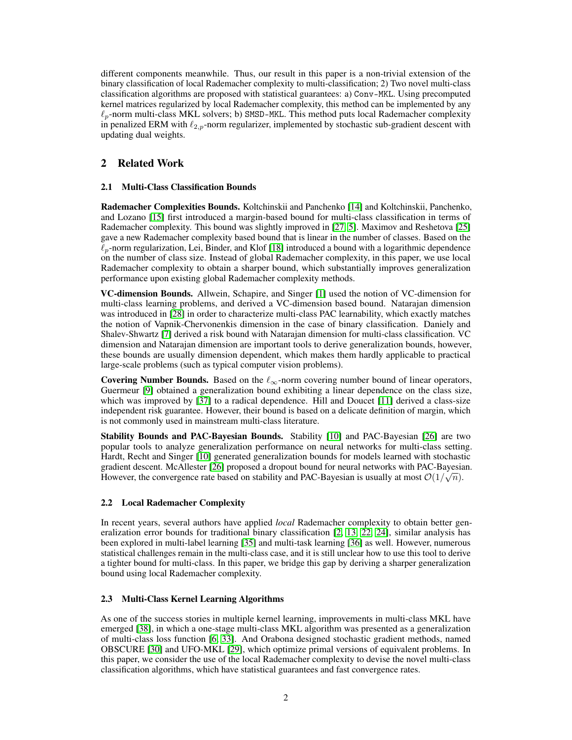different components meanwhile. Thus, our result in this paper is a non-trivial extension of the binary classification of local Rademacher complexity to multi-classification; 2) Two novel multi-class classification algorithms are proposed with statistical guarantees: a) Conv-MKL. Using precomputed kernel matrices regularized by local Rademacher complexity, this method can be implemented by any  $\ell_p$ -norm multi-class MKL solvers; b) SMSD-MKL. This method puts local Rademacher complexity in penalized ERM with  $\ell_{2,p}$ -norm regularizer, implemented by stochastic sub-gradient descent with updating dual weights.

# 2 Related Work

### 2.1 Multi-Class Classification Bounds

Rademacher Complexities Bounds. Koltchinskii and Panchenko [14] and Koltchinskii, Panchenko, and Lozano [15] first introduced a margin-based bound for multi-class classification in terms of Rademacher complexity. This bound was slightly improved in [27, 5]. Maximov and Reshetova [25] gave a new Rademacher complexity based bound that is linear in the number of classes. Based on the  $\ell_p$ -norm regularization, Lei, Binder, and Klof [18] introduced a bound with a logarithmic dependence on the number of class size. Instead of global Rademacher complexity, in this paper, we use local Rademacher complexity to obtain a sharper bound, which substantially improves generalization performance upon existing global Rademacher complexity methods.

VC-dimension Bounds. Allwein, Schapire, and Singer [1] used the notion of VC-dimension for multi-class learning problems, and derived a VC-dimension based bound. Natarajan dimension was introduced in [28] in order to characterize multi-class PAC learnability, which exactly matches the notion of Vapnik-Chervonenkis dimension in the case of binary classification. Daniely and Shalev-Shwartz [7] derived a risk bound with Natarajan dimension for multi-class classification. VC dimension and Natarajan dimension are important tools to derive generalization bounds, however, these bounds are usually dimension dependent, which makes them hardly applicable to practical large-scale problems (such as typical computer vision problems).

Covering Number Bounds. Based on the  $\ell_{\infty}$ -norm covering number bound of linear operators, Guermeur [9] obtained a generalization bound exhibiting a linear dependence on the class size, which was improved by [37] to a radical dependence. Hill and Doucet [11] derived a class-size independent risk guarantee. However, their bound is based on a delicate definition of margin, which is not commonly used in mainstream multi-class literature.

Stability Bounds and PAC-Bayesian Bounds. Stability [10] and PAC-Bayesian [26] are two popular tools to analyze generalization performance on neural networks for multi-class setting. Hardt, Recht and Singer [10] generated generalization bounds for models learned with stochastic gradient descent. McAllester [26] proposed a dropout bound for neural networks with PAC-Bayesian. However, the convergence rate based on stability and PAC-Bayesian is usually at most  $\mathcal{O}(1/\sqrt{n})$ .

### 2.2 Local Rademacher Complexity

In recent years, several authors have applied *local* Rademacher complexity to obtain better generalization error bounds for traditional binary classification [2, 13, 22, 24], similar analysis has been explored in multi-label learning [35] and multi-task learning [36] as well. However, numerous statistical challenges remain in the multi-class case, and it is still unclear how to use this tool to derive a tighter bound for multi-class. In this paper, we bridge this gap by deriving a sharper generalization bound using local Rademacher complexity.

# 2.3 Multi-Class Kernel Learning Algorithms

As one of the success stories in multiple kernel learning, improvements in multi-class MKL have emerged [38], in which a one-stage multi-class MKL algorithm was presented as a generalization of multi-class loss function [6, 33]. And Orabona designed stochastic gradient methods, named OBSCURE [30] and UFO-MKL [29], which optimize primal versions of equivalent problems. In this paper, we consider the use of the local Rademacher complexity to devise the novel multi-class classification algorithms, which have statistical guarantees and fast convergence rates.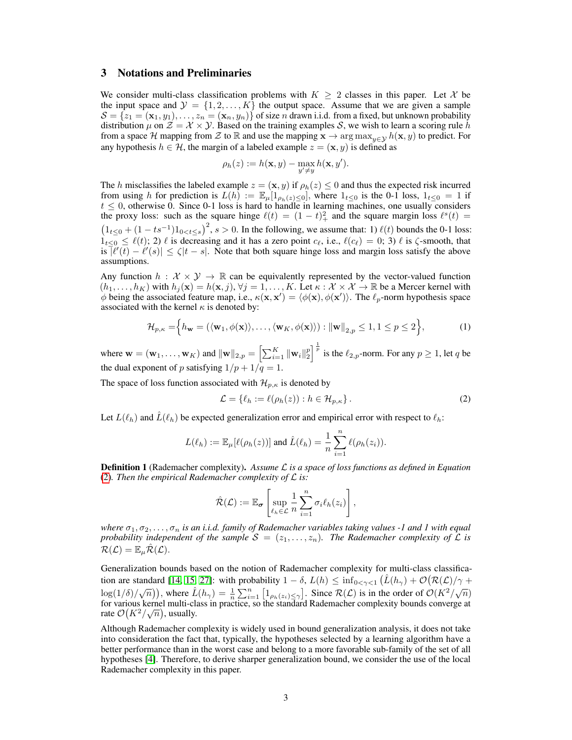# 3 Notations and Preliminaries

We consider multi-class classification problems with  $K \geq 2$  classes in this paper. Let X be the input space and  $\mathcal{Y} = \{1, 2, ..., K\}$  the output space. Assume that we are given a sample  $S = \{z_1 = (\mathbf{x}_1, y_1), \dots, z_n = (\mathbf{x}_n, y_n)\}\$  of size n drawn i.i.d. from a fixed, but unknown probability distribution  $\mu$  on  $\mathcal{Z} = \mathcal{X} \times \mathcal{Y}$ . Based on the training examples S, we wish to learn a scoring rule h from a space H mapping from Z to R and use the mapping  $\mathbf{x} \to \arg \max_{y \in \mathcal{Y}} h(\mathbf{x}, y)$  to predict. For any hypothesis  $h \in \mathcal{H}$ , the margin of a labeled example  $z = (\mathbf{x}, y)$  is defined as

$$
\rho_h(z) := h(\mathbf{x}, y) - \max_{y' \neq y} h(\mathbf{x}, y').
$$

The h misclassifies the labeled example  $z = (\mathbf{x}, y)$  if  $\rho_h(z) \leq 0$  and thus the expected risk incurred from using h for prediction is  $L(h) := \mathbb{E}_{\mu}[\mathbb{1}_{\rho_h(z) < 0}]$ , where  $\mathbb{1}_{t \leq 0}$  is the 0-1 loss,  $\mathbb{1}_{t \leq 0} = 1$  if  $t \leq 0$ , otherwise 0. Since 0-1 loss is hard to handle in learning machines, one usually considers the proxy loss: such as the square hinge  $\ell(t) = (1 - t)^2$  and the square margin loss  $\ell^s(t) =$  $(1_{t\leq 0} + (1 - ts^{-1})1_{0 < t \leq s})^2$ ,  $s > 0$ . In the following, we assume that: 1)  $\ell(t)$  bounds the 0-1 loss:  $1_{t<0} \leq \ell(t)$ ; 2)  $\ell$  is decreasing and it has a zero point  $c_{\ell}$ , i.e.,  $\ell(c_{\ell}) = 0$ ; 3)  $\ell$  is  $\zeta$ -smooth, that is  $|\ell'(t) - \ell'(s)| \le \zeta |t - s|$ . Note that both square hinge loss and margin loss satisfy the above assumptions.

Any function  $h : \mathcal{X} \times \mathcal{Y} \to \mathbb{R}$  can be equivalently represented by the vector-valued function  $(h_1, \ldots, h_K)$  with  $h_j(\mathbf{x}) = h(\mathbf{x}, j)$ ,  $\forall j = 1, \ldots, K$ . Let  $\kappa : \mathcal{X} \times \mathcal{X} \to \mathbb{R}$  be a Mercer kernel with  $\phi$  being the associated feature map, i.e.,  $\kappa(\mathbf{x}, \mathbf{x}') = \langle \phi(\mathbf{x}), \phi(\mathbf{x}') \rangle$ . The  $\ell_p$ -norm hypothesis space associated with the kernel  $\kappa$  is denoted by:

$$
\mathcal{H}_{p,\kappa} = \left\{ h_{\mathbf{w}} = (\langle \mathbf{w}_1, \phi(\mathbf{x}) \rangle, \dots, \langle \mathbf{w}_K, \phi(\mathbf{x}) \rangle) : ||\mathbf{w}||_{2,p} \le 1, 1 \le p \le 2 \right\},\tag{1}
$$

where  $\mathbf{w} = (\mathbf{w}_1, \dots, \mathbf{w}_K)$  and  $\|\mathbf{w}\|_{2,p} = \left[\sum_{i=1}^K \|\mathbf{w}_i\|_2^p\right]^{\frac{1}{p}}$  is the  $\ell_{2,p}$ -norm. For any  $p \ge 1$ , let q be the dual exponent of p satisfying  $1/p + 1/q = 1$ .

The space of loss function associated with  $\mathcal{H}_{p,\kappa}$  is denoted by

$$
\mathcal{L} = \{ \ell_h := \ell(\rho_h(z)) : h \in \mathcal{H}_{p,\kappa} \}.
$$
 (2)

Let  $L(\ell_h)$  and  $\hat{L}(\ell_h)$  be expected generalization error and empirical error with respect to  $\ell_h$ :

$$
L(\ell_h) := \mathbb{E}_{\mu}[\ell(\rho_h(z))] \text{ and } \hat{L}(\ell_h) = \frac{1}{n} \sum_{i=1}^n \ell(\rho_h(z_i)).
$$

Definition 1 (Rademacher complexity). *Assume* L *is a space of loss functions as defined in Equation* (2)*. Then the empirical Rademacher complexity of* L *is:*

$$
\hat{\mathcal{R}}(\mathcal{L}) := \mathbb{E}_{\boldsymbol{\sigma}} \left[ \sup_{\ell_h \in \mathcal{L}} \frac{1}{n} \sum_{i=1}^n \sigma_i \ell_h(z_i) \right],
$$

*where*  $\sigma_1, \sigma_2, \ldots, \sigma_n$  *is an i.i.d. family of Rademacher variables taking values -1 and 1 with equal probability independent of the sample*  $S = (z_1, \ldots, z_n)$ *. The Rademacher complexity of*  $\mathcal L$  *is*  $\mathcal{R}(\mathcal{L}) = \mathbb{E}_{\mu} \hat{\mathcal{R}}(\mathcal{L}).$ 

Generalization bounds based on the notion of Rademacher complexity for multi-class classification are standard [14, 15, 27]: with probability  $1 - \delta$ ,  $L(h) \le \inf_{0 \le \gamma \le 1} (\hat{L}(h_\gamma) + \mathcal{O}(\mathcal{R}(\mathcal{L})/\gamma +$  $\log(1/\delta)/\sqrt{n}$ ), where  $\hat{L}(h_{\gamma}) = \frac{1}{n} \sum_{i=1}^{n} [1_{\rho_h(z_i) \leq \gamma}]$ . Since  $\mathcal{R}(L)$  is in the order of  $\mathcal{O}(K^2/\sqrt{n})$ for various kernel multi-class in practice, so the standard Rademacher complexity bounds converge at rate  $\mathcal{O}(K^2/\sqrt{n})$ , usually.

Although Rademacher complexity is widely used in bound generalization analysis, it does not take into consideration the fact that, typically, the hypotheses selected by a learning algorithm have a better performance than in the worst case and belong to a more favorable sub-family of the set of all hypotheses [4]. Therefore, to derive sharper generalization bound, we consider the use of the local Rademacher complexity in this paper.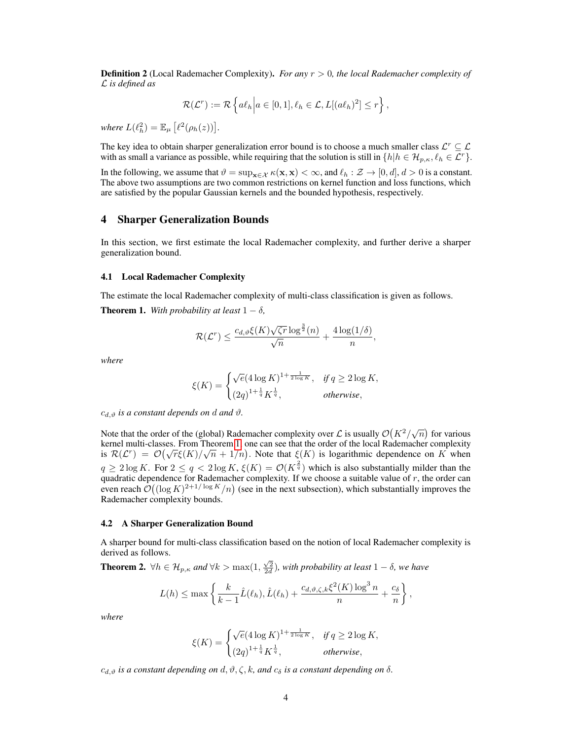**Definition 2** (Local Rademacher Complexity). *For any*  $r > 0$ , the local Rademacher complexity of L *is defined as*

$$
\mathcal{R}(\mathcal{L}^r) := \mathcal{R}\left\{a\ell_h \middle| a \in [0,1], \ell_h \in \mathcal{L}, L[(a\ell_h)^2] \leq r\right\},\
$$

*where*  $L(\ell_h^2) = \mathbb{E}_{\mu} \left[ \ell^2(\rho_h(z)) \right]$ .

The key idea to obtain sharper generalization error bound is to choose a much smaller class  $\mathcal{L}^r \subseteq \mathcal{L}$ with as small a variance as possible, while requiring that the solution is still in  $\{h | h \in \mathcal{H}_{p,\kappa}, \ell_h \in \mathcal{L}^r\}.$ 

In the following, we assume that  $\vartheta = \sup_{\mathbf{x} \in \mathcal{X}} \kappa(\mathbf{x}, \mathbf{x}) < \infty$ , and  $\ell_h : \mathcal{Z} \to [0, d], d > 0$  is a constant. The above two assumptions are two common restrictions on kernel function and loss functions, which are satisfied by the popular Gaussian kernels and the bounded hypothesis, respectively.

### 4 Sharper Generalization Bounds

In this section, we first estimate the local Rademacher complexity, and further derive a sharper generalization bound.

#### 4.1 Local Rademacher Complexity

The estimate the local Rademacher complexity of multi-class classification is given as follows. **Theorem 1.** *With probability at least*  $1 - \delta$ *,* 

$$
\mathcal{R}(\mathcal{L}^r) \le \frac{c_{d,\vartheta} \xi(K) \sqrt{\zeta r} \log^{\frac{3}{2}}(n)}{\sqrt{n}} + \frac{4 \log(1/\delta)}{n},
$$

*where*

$$
\xi(K) = \begin{cases} \sqrt{e} (4\log K)^{1+\frac{1}{2\log K}}, & \text{if } q \geq 2\log K, \\ (2q)^{1+\frac{1}{q}} K^{\frac{1}{q}}, & \text{otherwise,} \end{cases}
$$

 $c_{d,\vartheta}$  *is a constant depends on d and*  $\vartheta$ *.* 

Note that the order of the (global) Rademacher complexity over  $\mathcal L$  is usually  $\mathcal O(K^2/\sqrt{n})$  for various kernel multi-classes. From Theorem 1, one can see that the order of the local Rademacher complexity Exercise multi-classes. From Theorem 1, one can see that the order of the local Rademacher complexity<br>is  $\mathcal{R}(\mathcal{L}^r) = \mathcal{O}(\sqrt{r}\xi(K)/\sqrt{n} + 1/n)$ . Note that  $\xi(K)$  is logarithmic dependence on K when  $q \ge 2 \log K$ . For  $2 \le q < 2 \log K$ ,  $\xi(K) = \mathcal{O}(K^{\frac{2}{q}})$  which is also substantially milder than the quadratic dependence for Rademacher complexity. If we choose a suitable value of  $r$ , the order can even reach  $\mathcal{O}((\log K)^{2+1/\log K}/n)$  (see in the next subsection), which substantially improves the Rademacher complexity bounds.

#### 4.2 A Sharper Generalization Bound

A sharper bound for multi-class classification based on the notion of local Rademacher complexity is derived as follows.

**Theorem 2.**  $\forall h \in \mathcal{H}_{p,\kappa}$  and  $\forall k > \max(1, \frac{\sqrt{2}}{2d})$ , with probability at least  $1 - \delta$ , we have

$$
L(h) \le \max\left\{\frac{k}{k-1}\hat{L}(\ell_h), \hat{L}(\ell_h) + \frac{c_{d,\vartheta,\zeta,k}\xi^2(K)\log^3 n}{n} + \frac{c_{\delta}}{n}\right\},\,
$$

*where*

$$
\xi(K) = \begin{cases} \sqrt{e} (4\log K)^{1+\frac{1}{2\log K}}, & \text{if } q \ge 2\log K, \\ (2q)^{1+\frac{1}{q}} K^{\frac{1}{q}}, & \text{otherwise,} \end{cases}
$$

 $c_{d,\vartheta}$  *is a constant depending on*  $d, \vartheta, \zeta, k$ , and  $c_{\delta}$  *is a constant depending on*  $\delta$ .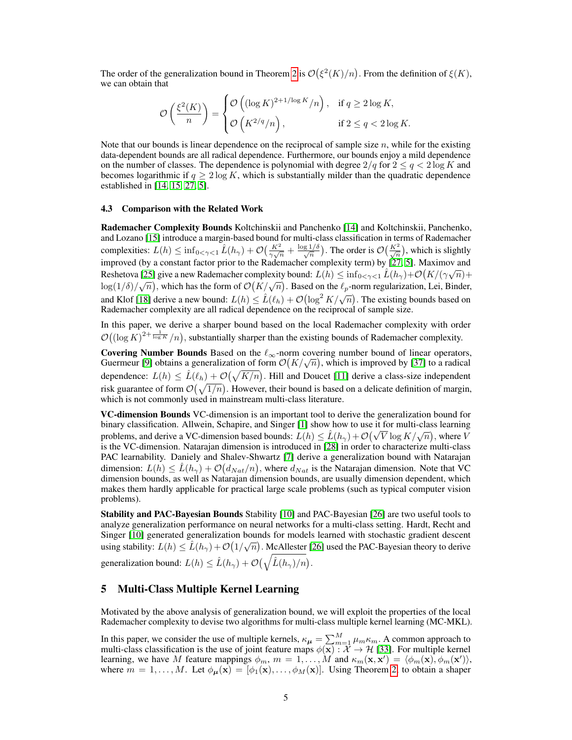The order of the generalization bound in Theorem 2 is  $\mathcal{O}(\xi^2(K)/n)$ . From the definition of  $\xi(K)$ , we can obtain that

$$
\mathcal{O}\left(\frac{\xi^2(K)}{n}\right) = \begin{cases} \mathcal{O}\left((\log K)^{2+1/\log K}/n\right), & \text{if } q \ge 2\log K, \\ \mathcal{O}\left(K^{2/q}/n\right), & \text{if } 2 \le q < 2\log K. \end{cases}
$$

Note that our bounds is linear dependence on the reciprocal of sample size  $n$ , while for the existing data-dependent bounds are all radical dependence. Furthermore, our bounds enjoy a mild dependence on the number of classes. The dependence is polynomial with degree  $2/q$  for  $2 \le q < 2 \log K$  and becomes logarithmic if  $q \geq 2 \log K$ , which is substantially milder than the quadratic dependence established in [14, 15, 27, 5].

#### 4.3 Comparison with the Related Work

Rademacher Complexity Bounds Koltchinskii and Panchenko [14] and Koltchinskii, Panchenko, and Lozano [15] introduce a margin-based bound for multi-class classification in terms of Rademacher complexities:  $L(h) \le \inf_{0 \le \gamma \le 1} \hat{L}(h_\gamma) + \mathcal{O}\left(\frac{K^2}{\gamma \sqrt{n}} + \frac{\log 1/\delta}{\sqrt{n}}\right)$ . The order is  $\mathcal{O}\left(\frac{K^2}{\sqrt{n}}\right)$ , which is slightly improved (by a constant factor prior to the Rademacher complexity term) by [27, 5]. Maximov and Reshetova [25] give a new Rademacher complexity bound:  $L(h) \leq \inf_{0 < \gamma < 1} \hat{L}(h_{\gamma}) + \mathcal{O}(K/(\gamma \sqrt{n}) +$ Residiova [25] give a new Rademacher complexity bound:  $E(h) \le \lim_{N \to \infty} Q_N \le \exp(N/(N \cdot N \cdot k)) +$ <br>log(1/δ)/ $\sqrt{n}$ ), which has the form of  $\mathcal{O}(K/\sqrt{n})$ . Based on the  $\ell_p$ -norm regularization, Lei, Binder, and Klof [18] derive a new bound:  $L(h) \le \hat{L}(\ell_h) + \mathcal{O}(\log^2 K/\sqrt{n})$ . The existing bounds based on Rademacher complexity are all radical dependence on the reciprocal of sample size.

In this paper, we derive a sharper bound based on the local Rademacher complexity with order  $\mathcal{O}((\log K)^{2+\frac{1}{\log K}}/n)$ , substantially sharper than the existing bounds of Rademacher complexity.

Covering Number Bounds Based on the  $\ell_{\infty}$ -norm covering number bound of linear operators, **Covering Number Bounds** Based on the  $\ell_{\infty}$ -norm covering number bound of linear operators, Guermeur [9] obtains a generalization of form  $\mathcal{O}(K/\sqrt{n})$ , which is improved by [37] to a radical dependence:  $L(h) \leq \hat{L}(\ell_h) + \mathcal{O}(\sqrt{K/n})$ . Hill and Doucet [11] derive a class-size independent risk guarantee of form  $\mathcal{O}(\sqrt{1/n})$ . However, their bound is based on a delicate definition of margin, which is not commonly used in mainstream multi-class literature.

VC-dimension Bounds VC-dimension is an important tool to derive the generalization bound for binary classification. Allwein, Schapire, and Singer [1] show how to use it for multi-class learning binary classification. Allwein, Schapire, and Singer [1] show how to use it for multi-class learning<br>problems, and derive a VC-dimension based bounds:  $L(h) \leq \hat{L}(h_\gamma) + \mathcal{O}(\sqrt{V} \log K/\sqrt{n})$ , where V is the VC-dimension. Natarajan dimension is introduced in [28] in order to characterize multi-class PAC learnability. Daniely and Shalev-Shwartz [7] derive a generalization bound with Natarajan dimension:  $L(h) \leq \hat{L}(h_{\gamma}) + \mathcal{O}(d_{Nat}/n)$ , where  $d_{Nat}$  is the Natarajan dimension. Note that VC dimension bounds, as well as Natarajan dimension bounds, are usually dimension dependent, which makes them hardly applicable for practical large scale problems (such as typical computer vision problems).

Stability and PAC-Bayesian Bounds Stability [10] and PAC-Bayesian [26] are two useful tools to analyze generalization performance on neural networks for a multi-class setting. Hardt, Recht and Singer [10] generated generalization bounds for models learned with stochastic gradient descent using stability:  $L(h) \leq \hat{L}(h_\gamma) + \mathcal{O}(1/\sqrt{n})$ . McAllester [26] used the PAC-Bayesian theory to derive generalization bound:  $L(h) \leq \hat{L}(h_{\gamma}) + \mathcal{O}(\sqrt{\hat{L}(h_{\gamma})/n}).$ 

### 5 Multi-Class Multiple Kernel Learning

Motivated by the above analysis of generalization bound, we will exploit the properties of the local Rademacher complexity to devise two algorithms for multi-class multiple kernel learning (MC-MKL).

In this paper, we consider the use of multiple kernels,  $\kappa_{\mu} = \sum_{m=1}^{M} \mu_m \kappa_m$ . A common approach to multi-class classification is the use of joint feature maps  $\phi(\mathbf{x}) : \overline{\mathcal{X}} \to \mathcal{H}$  [33]. For multiple kernel learning, we have M feature mappings  $\phi_m$ ,  $m = 1, \ldots, M$  and  $\kappa_m(\mathbf{x}, \mathbf{x}') = \langle \phi_m(\mathbf{x}), \phi_m(\mathbf{x}') \rangle$ , where  $m = 1, ..., M$ . Let  $\phi_{\mu}(\mathbf{x}) = [\phi_1(\mathbf{x}), ..., \phi_M(\mathbf{x})]$ . Using Theorem 2, to obtain a shaper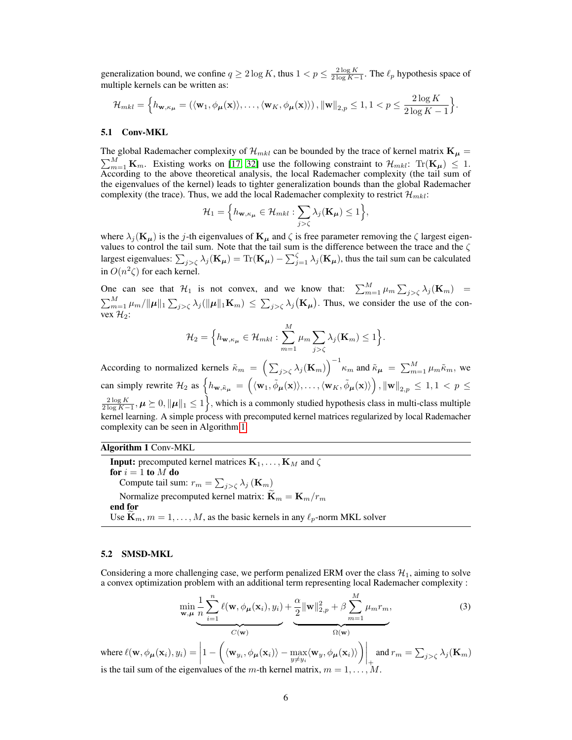generalization bound, we confine  $q \ge 2 \log K$ , thus  $1 < p \le \frac{2 \log K}{2 \log K - 1}$ . The  $\ell_p$  hypothesis space of multiple kernels can be written as:

$$
\mathcal{H}_{mkl} = \Big\{ h_{\mathbf{w},\kappa_{\mu}} = \left( \langle \mathbf{w}_1, \phi_{\mu}(\mathbf{x}) \rangle, \ldots, \langle \mathbf{w}_K, \phi_{\mu}(\mathbf{x}) \rangle \right), \|\mathbf{w}\|_{2,p} \le 1, 1 < p \le \frac{2\log K}{2\log K - 1} \Big\}.
$$

#### 5.1 Conv-MKL

The global Rademacher complexity of  $\mathcal{H}_{mkl}$  can be bounded by the trace of kernel matrix  $\mathbf{K}_{\mu} =$  $\sum_{m=1}^{M} \mathbf{K}_m$ . Existing works on [17, 32] use the following constraint to  $\mathcal{H}_{mkl}$ : Tr $(\mathbf{K}_{\mu}) \leq 1$ . According to the above theoretical analysis, the local Rademacher complexity (the tail sum of the eigenvalues of the kernel) leads to tighter generalization bounds than the global Rademacher complexity (the trace). Thus, we add the local Rademacher complexity to restrict  $\mathcal{H}_{mkl}$ :

$$
\mathcal{H}_1 = \Big\{ h_{\mathbf{w}, \kappa_{\mu}} \in \mathcal{H}_{mkl} : \sum_{j > \zeta} \lambda_j(\mathbf{K}_{\mu}) \leq 1 \Big\},\
$$

where  $\lambda_j(\mathbf{K}_{\mu})$  is the j-th eigenvalues of  $\mathbf{K}_{\mu}$  and  $\zeta$  is free parameter removing the  $\zeta$  largest eigenvalues to control the tail sum. Note that the tail sum is the difference between the trace and the  $\zeta$ largest eigenvalues:  $\sum_{j>\zeta} \lambda_j(\mathbf{K}_{\mu}) = \text{Tr}(\mathbf{K}_{\mu}) - \sum_{j=1}^{\zeta} \lambda_j(\mathbf{K}_{\mu})$ , thus the tail sum can be calculated in  $O(n^2\zeta)$  for each kernel.

One can see that  $\mathcal{H}_1$  is not convex, and we know that:  $\sum_{m=1}^M \mu_m \sum_{j>\zeta} \lambda_j (\mathbf{K}_m)$  =  $\sum_{m=1}^M \mu_m / \|\mu\|_1 \sum_{j>\zeta} \lambda_j(\|\mu\|_1 \mathbf{K}_m) \leq \sum_{j>\zeta} \lambda_j(\mathbf{K}_{\mu})$ . Thus, we consider the use of the convex  $\mathcal{H}_2$ :

$$
\mathcal{H}_2 = \Big\{ h_{\mathbf{w}, \kappa_{\mu}} \in \mathcal{H}_{mkl} : \sum_{m=1}^{M} \mu_m \sum_{j > \zeta} \lambda_j(\mathbf{K}_m) \leq 1 \Big\}.
$$

According to normalized kernels  $\tilde{\kappa}_m = \left(\sum_{j>\zeta}\lambda_j(\mathbf{K}_m)\right)^{-1} \kappa_m$  and  $\tilde{\kappa}_\mu = \sum_{m=1}^M \mu_m \tilde{\kappa}_m$ , we can simply rewrite  $\mathcal{H}_2$  as  $\left\{ h_{\mathbf{w},\tilde{\kappa}_{\boldsymbol{\mu}}} = \left( \langle \mathbf{w}_1, \tilde{\phi}_{\boldsymbol{\mu}}(\mathbf{x}) \rangle, \dots, \langle \mathbf{w}_K, \tilde{\phi}_{\boldsymbol{\mu}}(\mathbf{x}) \rangle \right), \|\mathbf{w}\|_{2,p} \leq 1, 1 < p \leq 1$  $\frac{2\log K}{2\log K-1}$ ,  $\mu \ge 0$ ,  $\|\mu\|_1 \le 1$ , which is a commonly studied hypothesis class in multi-class multiple kernel learning. A simple process with precomputed kernel matrices regularized by local Rademacher complexity can be seen in Algorithm 1:

# Algorithm 1 Conv-MKL

**Input:** precomputed kernel matrices  $\mathbf{K}_1, \dots, \mathbf{K}_M$  and  $\zeta$ for  $i = 1$  to  $M$  do Compute tail sum:  $r_m = \sum_{j>\zeta} \lambda_j (\mathbf{K}_m)$ Normalize precomputed kernel matrix:  $\widetilde{\mathbf{K}}_m = \mathbf{K}_m/r_m$ end for Use  $\mathbf{K}_m$ ,  $m = 1, \ldots, M$ , as the basic kernels in any  $\ell_p$ -norm MKL solver

#### 5.2 SMSD-MKL

Considering a more challenging case, we perform penalized ERM over the class  $\mathcal{H}_1$ , aiming to solve a convex optimization problem with an additional term representing local Rademacher complexity :

$$
\min_{\mathbf{w}, \mu} \underbrace{\frac{1}{n} \sum_{i=1}^{n} \ell(\mathbf{w}, \phi_{\mu}(\mathbf{x}_i), y_i)}_{C(\mathbf{w})} + \underbrace{\frac{\alpha}{2} ||\mathbf{w}||_{2, p}^2 + \beta \sum_{m=1}^{M} \mu_m r_m}_{\Omega(\mathbf{w})},
$$
\n(3)

where  $\ell(\mathbf{w}, \phi_{\boldsymbol{\mu}}(\mathbf{x}_i), y_i) = \Big|$  $1 - \Big( \langle {\bf w}_{y_i}, \phi_{\boldsymbol \mu} ({\bf x}_i) \rangle - \max_{y \neq y_i} \langle {\bf w}_y, \phi_{\boldsymbol \mu} ({\bf x}_i) \rangle \Big) \Big|_+$ and  $r_m = \sum_{j>\zeta} \lambda_j(\mathbf{K}_m)$ is the tail sum of the eigenvalues of the m-th kernel matrix,  $m = 1, \ldots, M$ .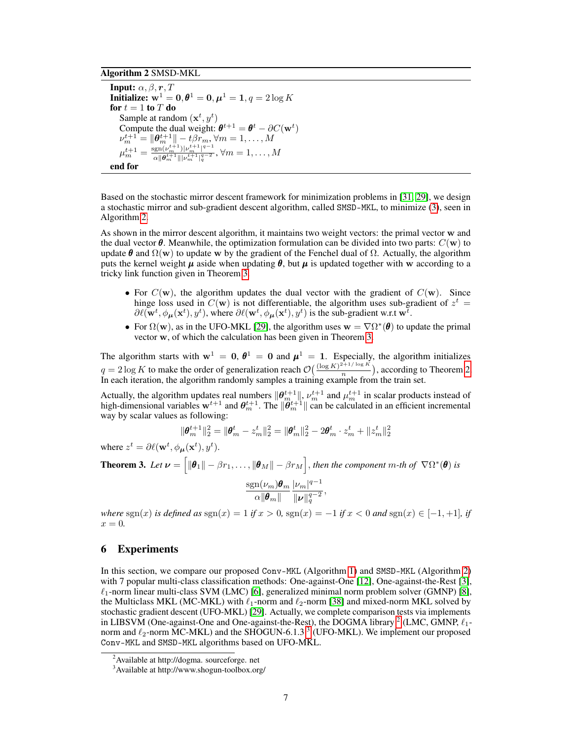# Algorithm 2 SMSD-MKL

Input:  $\alpha, \beta, r, T$ Initialize:  $w^1 = 0, \theta^1 = 0, \mu^1 = 1, q = 2 \log K$ for  $t = 1$  to  $T$  do Sample at random  $(\mathbf{x}^t, y^t)$ Compute the dual weight:  $\boldsymbol{\theta}^{t+1} = \boldsymbol{\theta}^t - \partial C(\mathbf{w}^t)$  $\nu_m^{t+1} = \|\boldsymbol{\theta}_m^{t+1}\| - t\beta r_m, \forall m = 1,\dots,M$  $\mu_m^{t+1} = \frac{\text{sgn}(\nu_m^{t+1})|\nu_m^{t+1}|^{q-1}}{\alpha\|\boldsymbol{\theta}^{t+1}\|\|\nu_m^{t+1}\|^q}$  $\frac{\log n(\nu_m-|\nu_m|+1}{\alpha\|\bm{\theta}_m^{t+1}\||\nu_m^{t+1}|_q^{q-2}}, \forall m=1,\dots,M$ end for

Based on the stochastic mirror descent framework for minimization problems in [31, 29], we design a stochastic mirror and sub-gradient descent algorithm, called SMSD-MKL, to minimize (3), seen in Algorithm 2.

As shown in the mirror descent algorithm, it maintains two weight vectors: the primal vector w and the dual vector  $\theta$ . Meanwhile, the optimization formulation can be divided into two parts:  $C(\bf{w})$  to update  $\theta$  and  $\Omega(w)$  to update w by the gradient of the Fenchel dual of  $\Omega$ . Actually, the algorithm puts the kernel weight  $\mu$  aside when updating  $\theta$ , but  $\mu$  is updated together with w according to a tricky link function given in Theorem 3.

- For  $C(\mathbf{w})$ , the algorithm updates the dual vector with the gradient of  $C(\mathbf{w})$ . Since hinge loss used in  $C(\bf{w})$  is not differentiable, the algorithm uses sub-gradient of  $z^t$  =  $\partial \ell(\mathbf{w}^t, \phi_\mu(\mathbf{x}^t), y^t)$ , where  $\partial \ell(\mathbf{w}^t, \phi_\mu(\mathbf{x}^t), y^t)$  is the sub-gradient w.r.t  $\mathbf{w}^t$ .
- For  $\Omega(w)$ , as in the UFO-MKL [29], the algorithm uses  $w = \nabla \Omega^*(\theta)$  to update the primal vector w, of which the calculation has been given in Theorem 3.

The algorithm starts with  $w^1 = 0$ ,  $\theta^1 = 0$  and  $\mu^1 = 1$ . Especially, the algorithm initializes  $q = 2 \log K$  to make the order of generalization reach  $\mathcal{O}\left(\frac{(\log K)^{2+1/\log K}}{n}\right)$  $\frac{n}{n}$ , according to Theorem 2. In each iteration, the algorithm randomly samples a training example from the train set.

Actually, the algorithm updates real numbers  $\|\theta_m^{t+1}\|$ ,  $\nu_m^{t+1}$  and  $\mu_m^{t+1}$  in scalar products instead of high-dimensional variables  $w^{t+1}$  and  $\theta_m^{t+1}$ . The  $\|\tilde{\theta}_m^{t+1}\|$  can be calculated in an efficient incremental way by scalar values as following:

$$
\|{\pmb{\theta}}_m^{t+1}\|_2^2 = \|{\pmb{\theta}}_m^t - z_m^t\|_2^2 = \|{\pmb{\theta}}_m^t\|_2^2 - 2{\pmb{\theta}}_m^t \cdot z_m^t + \|z_m^t\|_2^2
$$

where  $z^t = \partial \ell(\mathbf{w}^t, \phi_{\mu}(\mathbf{x}^t), y^t)$ .

**Theorem 3.** Let  $\bm{\nu} = \left[\|\bm{\theta}_1\| - \beta r_1, \ldots, \|\bm{\theta}_M\| - \beta r_M\right]$ , then the component  $m$ -th of  $\nabla\Omega^*(\bm{\theta})$  is  $\mathrm{sgn}(\nu_m)\boldsymbol{\theta}_m$  $\alpha\Vert\bm{\theta}_m\Vert$  $|\nu_m|^{q-1}$  $\|\pmb{\nu}\|_q^{q-2}$ ,

*where* sgn(x) *is defined as* sgn(x) = 1 *if*  $x > 0$ , sgn(x) =  $-1$  *if*  $x < 0$  *and* sgn(x)  $\in [-1, +1]$ *, if*  $x = 0$ .

# 6 Experiments

In this section, we compare our proposed Conv-MKL (Algorithm 1) and SMSD-MKL (Algorithm 2) with 7 popular multi-class classification methods: One-against-One [12], One-against-the-Rest [3],  $\ell_1$ -norm linear multi-class SVM (LMC) [6], generalized minimal norm problem solver (GMNP) [8], the Multiclass MKL (MC-MKL) with  $\ell_1$ -norm and  $\ell_2$ -norm [38] and mixed-norm MKL solved by stochastic gradient descent (UFO-MKL) [29]. Actually, we complete comparison tests via implements in LIBSVM (One-against-One and One-against-the-Rest), the DOGMA library <sup>2</sup> (LMC, GMNP,  $\ell_1$ norm and  $\ell_2$ -norm MC-MKL) and the SHOGUN-6.1.3<sup>3</sup> (UFO-MKL). We implement our proposed Conv-MKL and SMSD-MKL algorithms based on UFO-MKL.

<sup>&</sup>lt;sup>2</sup> Available at http://dogma. sourceforge. net

<sup>3</sup>Available at http://www.shogun-toolbox.org/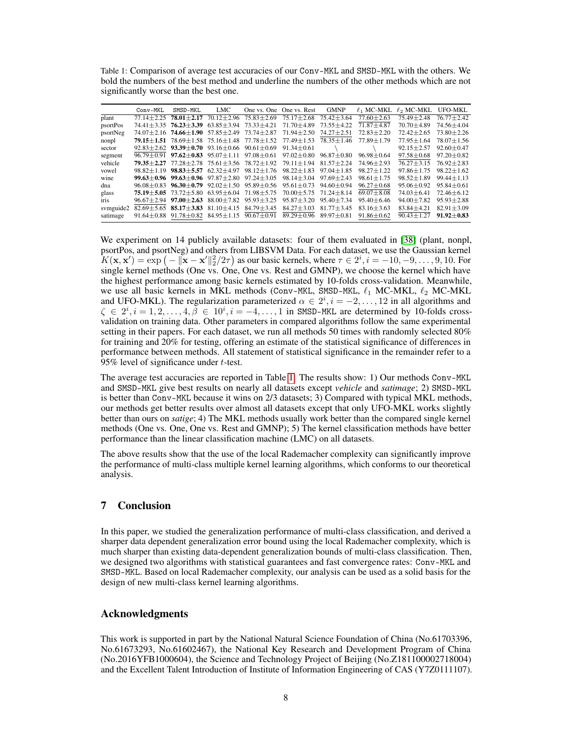Table 1: Comparison of average test accuracies of our Conv-MKL and SMSD-MKL with the others. We bold the numbers of the best method and underline the numbers of the other methods which are not significantly worse than the best one.

|             | Conv-MKL       | SMSD-MKL                                           | LMC                                                         |                                                                                   | One vs. One One vs. Rest          | <b>GMNP</b>      | $\ell_1$ MC-MKL  | $\ell_2$ MC-MKL  | <b>UFO-MKL</b>   |
|-------------|----------------|----------------------------------------------------|-------------------------------------------------------------|-----------------------------------------------------------------------------------|-----------------------------------|------------------|------------------|------------------|------------------|
| plant       | $77.14 + 2.25$ | $78.01 + 2.17$                                     | $70.12 \pm 2.96$                                            | $75.83 \pm 2.69$                                                                  | $75.17 \pm 2.68$                  | $75.42 \pm 3.64$ | $77.60 \pm 2.63$ | $75.49 \pm 2.48$ | $76.77 + 2.42$   |
| psortPos    | $74.41 + 3.35$ | $76.23 \pm 3.39$                                   | $63.85 \pm 3.94$                                            | $73.33 \pm 4.21$                                                                  | 71.70±4.89                        | $73.55 \pm 4.22$ | $71.87 \pm 4.87$ | 70.70 ± 4.89     | 74.56 ± 4.04     |
| psortNeg    |                | $74.07 + 2.16$ $74.66 + 1.90$                      |                                                             | $57.85 \pm 2.49$ $73.74 \pm 2.87$                                                 | $71.94 \pm 2.50$                  | $74.27 \pm 2.51$ | $72.83 \pm 2.20$ | $72.42 \pm 2.65$ | $73.80 + 2.26$   |
| nonpl       |                |                                                    |                                                             | <b>79.15</b> $\pm$ <b>1.51</b> 78.69 $\pm$ 1.58 75.16 $\pm$ 1.48 77.78 $\pm$ 1.52 | 77.49±1.53                        | $78.35 \pm 1.46$ | $77.89 \pm 1.79$ | $77.95 \pm 1.64$ | $78.07 \pm 1.56$ |
| sector      |                |                                                    |                                                             | $92.83 \pm 2.62$ $93.39 \pm 0.70$ $93.16 \pm 0.66$ $90.61 \pm 0.69$               | $91.34 \pm 0.61$                  |                  |                  | $92.15 \pm 2.57$ | $92.60 + 0.47$   |
| segment     |                | $96.79 \pm 0.91$ $97.62 \pm 0.83$ $95.07 \pm 1.11$ |                                                             | $97.08 + 0.61$                                                                    | $97.02 \pm 0.80$                  | $96.87 + 0.80$   | $96.98 \pm 0.64$ | $97.58 \pm 0.68$ | $97.20 \pm 0.82$ |
| vehicle     |                |                                                    | $79.35 + 2.27$ $77.28 + 2.78$ $75.61 + 3.56$ $78.72 + 1.92$ |                                                                                   | $79.11 + 1.94$                    | $81.57 + 2.24$   | $74.96 \pm 2.93$ | $76.27 \pm 3.15$ | $76.92 + 2.83$   |
| vowel       | $98.82 + 1.19$ |                                                    | $98.83 \pm 5.57$ 62.32 $\pm$ 4.97                           | $98.12 \pm 1.76$                                                                  | $98.22 + 1.83$                    | $97.04 \pm 1.85$ | $98.27 \pm 1.22$ | $97.86 \pm 1.75$ | $98.22 + 1.62$   |
| wine        |                |                                                    |                                                             | 99.63 ± 0.96 99.63 ± 0.96 97.87 ± 2.80 97.24 ± 3.05                               | $98.14 \pm 3.04$                  | $97.69 \pm 2.43$ | $98.61 \pm 1.75$ | $98.52 \pm 1.89$ | $99.44 \pm 1.13$ |
| dna         |                |                                                    |                                                             | $96.08 \pm 0.83$ $96.30 \pm 0.79$ $92.02 \pm 1.50$ $95.89 \pm 0.56$               | $95.61 \pm 0.73$                  | $94.60 + 0.94$   | $96.27 \pm 0.68$ | $95.06 \pm 0.92$ | $95.84 + 0.61$   |
| glass       |                |                                                    |                                                             | $75.19 \pm 5.05$ $73.72 \pm 5.80$ $63.95 \pm 6.04$ $71.98 \pm 5.75$               | $70.00 \pm 5.75$ $71.24 \pm 8.14$ |                  | $69.07 \pm 8.08$ | $74.03 \pm 6.41$ | $72.46 \pm 6.12$ |
| <b>ITIS</b> |                | $96.67 + 2.94$ $97.00 + 2.63$                      | $88.00 \pm 7.82$                                            | $95.93 \pm 3.25$                                                                  | $95.87 \pm 3.20$                  | $95.40 + 7.34$   | $95.40 \pm 6.46$ | $94.00 \pm 7.82$ | $95.93 \pm 2.88$ |
| symguide2   |                |                                                    | $82.69 \pm 5.65$ 85.17 $\pm$ 3.83 81.10 $\pm$ 4.15          | $84.79 \pm 3.45$                                                                  | $84.27 \pm 3.03$                  | $81.77 + 3.45$   | $83.16 \pm 3.63$ | $83.84 \pm 4.21$ | $82.91 + 3.09$   |
| satimage    |                |                                                    | $91.64 \pm 0.88$ $91.78 \pm 0.82$ $84.95 \pm 1.15$          | $90.67 \pm 0.91$                                                                  | $89.29 \pm 0.96$                  | $89.97 + 0.81$   | $91.86 \pm 0.62$ | $90.43 \pm 1.27$ | $91.92 + 0.83$   |

We experiment on 14 publicly available datasets: four of them evaluated in [38] (plant, nonpl, psortPos, and psortNeg) and others from LIBSVM Data. For each dataset, we use the Gaussian kernel  $K(\mathbf{x}, \mathbf{x}') = \exp(-\|\mathbf{x} - \mathbf{x}'\|_2^2/2\tau)$  as our basic kernels, where  $\tau \in 2^i, i = -10, -9, \dots, 9, 10$ . For single kernel methods (One vs. One, One vs. Rest and GMNP), we choose the kernel which have the highest performance among basic kernels estimated by 10-folds cross-validation. Meanwhile, we use all basic kernels in MKL methods (Conv-MKL, SMSD-MKL,  $\ell_1$  MC-MKL,  $\ell_2$  MC-MKL and UFO-MKL). The regularization parameterized  $\alpha \in 2^i, i = -2, \ldots, 12$  in all algorithms and  $\zeta \in 2^i, i = 1, 2, \ldots, 4, \bar{\beta} \in 10^i, i = -4, \ldots, 1$  in SMSD-MKL are determined by 10-folds crossvalidation on training data. Other parameters in compared algorithms follow the same experimental setting in their papers. For each dataset, we run all methods 50 times with randomly selected 80% for training and 20% for testing, offering an estimate of the statistical significance of differences in performance between methods. All statement of statistical significance in the remainder refer to a 95% level of significance under  $t$ -test.

The average test accuracies are reported in Table 1. The results show: 1) Our methods Conv-MKL and SMSD-MKL give best results on nearly all datasets except *vehicle* and *satimage*; 2) SMSD-MKL is better than Conv-MKL because it wins on 2/3 datasets; 3) Compared with typical MKL methods, our methods get better results over almost all datasets except that only UFO-MKL works slightly better than ours on *satige*; 4) The MKL methods usually work better than the compared single kernel methods (One vs. One, One vs. Rest and GMNP); 5) The kernel classification methods have better performance than the linear classification machine (LMC) on all datasets.

The above results show that the use of the local Rademacher complexity can significantly improve the performance of multi-class multiple kernel learning algorithms, which conforms to our theoretical analysis.

# 7 Conclusion

In this paper, we studied the generalization performance of multi-class classification, and derived a sharper data dependent generalization error bound using the local Rademacher complexity, which is much sharper than existing data-dependent generalization bounds of multi-class classification. Then, we designed two algorithms with statistical guarantees and fast convergence rates: Conv-MKL and SMSD-MKL. Based on local Rademacher complexity, our analysis can be used as a solid basis for the design of new multi-class kernel learning algorithms.

# Acknowledgments

This work is supported in part by the National Natural Science Foundation of China (No.61703396, No.61673293, No.61602467), the National Key Research and Development Program of China (No.2016YFB1000604), the Science and Technology Project of Beijing (No.Z181100002718004) and the Excellent Talent Introduction of Institute of Information Engineering of CAS (Y7Z0111107).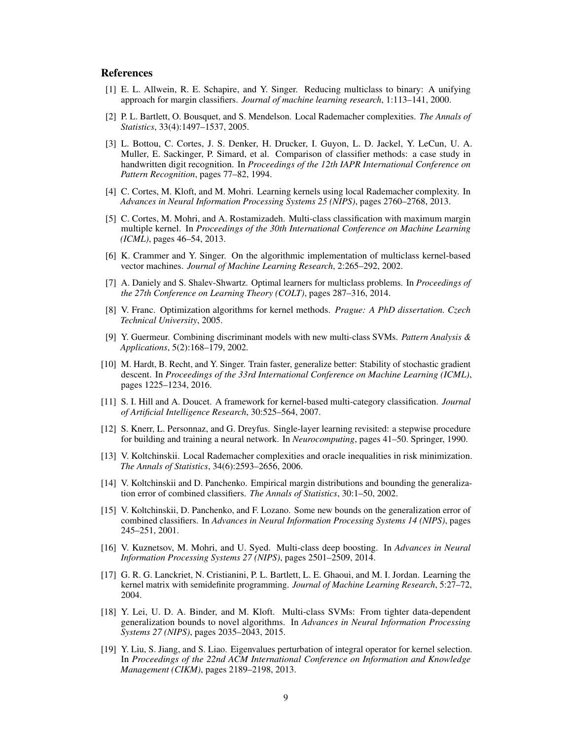### References

- [1] E. L. Allwein, R. E. Schapire, and Y. Singer. Reducing multiclass to binary: A unifying approach for margin classifiers. *Journal of machine learning research*, 1:113–141, 2000.
- [2] P. L. Bartlett, O. Bousquet, and S. Mendelson. Local Rademacher complexities. *The Annals of Statistics*, 33(4):1497–1537, 2005.
- [3] L. Bottou, C. Cortes, J. S. Denker, H. Drucker, I. Guyon, L. D. Jackel, Y. LeCun, U. A. Muller, E. Sackinger, P. Simard, et al. Comparison of classifier methods: a case study in handwritten digit recognition. In *Proceedings of the 12th IAPR International Conference on Pattern Recognition*, pages 77–82, 1994.
- [4] C. Cortes, M. Kloft, and M. Mohri. Learning kernels using local Rademacher complexity. In *Advances in Neural Information Processing Systems 25 (NIPS)*, pages 2760–2768, 2013.
- [5] C. Cortes, M. Mohri, and A. Rostamizadeh. Multi-class classification with maximum margin multiple kernel. In *Proceedings of the 30th International Conference on Machine Learning (ICML)*, pages 46–54, 2013.
- [6] K. Crammer and Y. Singer. On the algorithmic implementation of multiclass kernel-based vector machines. *Journal of Machine Learning Research*, 2:265–292, 2002.
- [7] A. Daniely and S. Shalev-Shwartz. Optimal learners for multiclass problems. In *Proceedings of the 27th Conference on Learning Theory (COLT)*, pages 287–316, 2014.
- [8] V. Franc. Optimization algorithms for kernel methods. *Prague: A PhD dissertation. Czech Technical University*, 2005.
- [9] Y. Guermeur. Combining discriminant models with new multi-class SVMs. *Pattern Analysis & Applications*, 5(2):168–179, 2002.
- [10] M. Hardt, B. Recht, and Y. Singer. Train faster, generalize better: Stability of stochastic gradient descent. In *Proceedings of the 33rd International Conference on Machine Learning (ICML)*, pages 1225–1234, 2016.
- [11] S. I. Hill and A. Doucet. A framework for kernel-based multi-category classification. *Journal of Artificial Intelligence Research*, 30:525–564, 2007.
- [12] S. Knerr, L. Personnaz, and G. Dreyfus. Single-layer learning revisited: a stepwise procedure for building and training a neural network. In *Neurocomputing*, pages 41–50. Springer, 1990.
- [13] V. Koltchinskii. Local Rademacher complexities and oracle inequalities in risk minimization. *The Annals of Statistics*, 34(6):2593–2656, 2006.
- [14] V. Koltchinskii and D. Panchenko. Empirical margin distributions and bounding the generalization error of combined classifiers. *The Annals of Statistics*, 30:1–50, 2002.
- [15] V. Koltchinskii, D. Panchenko, and F. Lozano. Some new bounds on the generalization error of combined classifiers. In *Advances in Neural Information Processing Systems 14 (NIPS)*, pages 245–251, 2001.
- [16] V. Kuznetsov, M. Mohri, and U. Syed. Multi-class deep boosting. In *Advances in Neural Information Processing Systems 27 (NIPS)*, pages 2501–2509, 2014.
- [17] G. R. G. Lanckriet, N. Cristianini, P. L. Bartlett, L. E. Ghaoui, and M. I. Jordan. Learning the kernel matrix with semidefinite programming. *Journal of Machine Learning Research*, 5:27–72, 2004.
- [18] Y. Lei, U. D. A. Binder, and M. Kloft. Multi-class SVMs: From tighter data-dependent generalization bounds to novel algorithms. In *Advances in Neural Information Processing Systems 27 (NIPS)*, pages 2035–2043, 2015.
- [19] Y. Liu, S. Jiang, and S. Liao. Eigenvalues perturbation of integral operator for kernel selection. In *Proceedings of the 22nd ACM International Conference on Information and Knowledge Management (CIKM)*, pages 2189–2198, 2013.